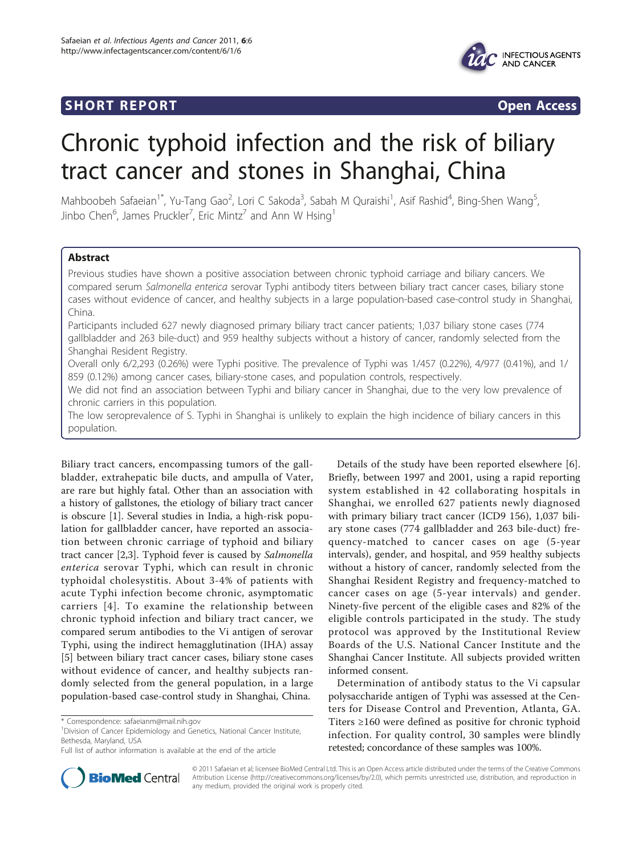# **SHORT REPORT CONSUMING THE OPEN ACCESS**



# Chronic typhoid infection and the risk of biliary tract cancer and stones in Shanghai, China

Mahboobeh Safaeian<sup>1\*</sup>, Yu-Tang Gao<sup>2</sup>, Lori C Sakoda<sup>3</sup>, Sabah M Quraishi<sup>1</sup>, Asif Rashid<sup>4</sup>, Bing-Shen Wang<sup>5</sup> , Jinbo Chen $^6$ , James Pruckler<sup>7</sup>, Eric Mintz<sup>7</sup> and Ann W Hsing<sup>1</sup>

# Abstract

Previous studies have shown a positive association between chronic typhoid carriage and biliary cancers. We compared serum Salmonella enterica serovar Typhi antibody titers between biliary tract cancer cases, biliary stone cases without evidence of cancer, and healthy subjects in a large population-based case-control study in Shanghai, China.

Participants included 627 newly diagnosed primary biliary tract cancer patients; 1,037 biliary stone cases (774 gallbladder and 263 bile-duct) and 959 healthy subjects without a history of cancer, randomly selected from the Shanghai Resident Registry.

Overall only 6/2,293 (0.26%) were Typhi positive. The prevalence of Typhi was 1/457 (0.22%), 4/977 (0.41%), and 1/ 859 (0.12%) among cancer cases, biliary-stone cases, and population controls, respectively.

We did not find an association between Typhi and biliary cancer in Shanghai, due to the very low prevalence of chronic carriers in this population.

The low seroprevalence of S. Typhi in Shanghai is unlikely to explain the high incidence of biliary cancers in this population.

Biliary tract cancers, encompassing tumors of the gallbladder, extrahepatic bile ducts, and ampulla of Vater, are rare but highly fatal. Other than an association with a history of gallstones, the etiology of biliary tract cancer is obscure [\[1](#page-2-0)]. Several studies in India, a high-risk population for gallbladder cancer, have reported an association between chronic carriage of typhoid and biliary tract cancer [[2,3](#page-2-0)]. Typhoid fever is caused by Salmonella enterica serovar Typhi, which can result in chronic typhoidal cholesystitis. About 3-4% of patients with acute Typhi infection become chronic, asymptomatic carriers [[4](#page-2-0)]. To examine the relationship between chronic typhoid infection and biliary tract cancer, we compared serum antibodies to the Vi antigen of serovar Typhi, using the indirect hemagglutination (IHA) assay [[5\]](#page-2-0) between biliary tract cancer cases, biliary stone cases without evidence of cancer, and healthy subjects randomly selected from the general population, in a large population-based case-control study in Shanghai, China.

<sup>1</sup> Division of Cancer Epidemiology and Genetics, National Cancer Institute, Bethesda, Maryland, USA



Determination of antibody status to the Vi capsular polysaccharide antigen of Typhi was assessed at the Centers for Disease Control and Prevention, Atlanta, GA. Titers ≥160 were defined as positive for chronic typhoid infection. For quality control, 30 samples were blindly retested; concordance of these samples was 100%.



© 2011 Safaeian et al; licensee BioMed Central Ltd. This is an Open Access article distributed under the terms of the Creative Commons Attribution License [\(http://creativecommons.org/licenses/by/2.0](http://creativecommons.org/licenses/by/2.0)), which permits unrestricted use, distribution, and reproduction in any medium, provided the original work is properly cited.

<sup>\*</sup> Correspondence: [safaeianm@mail.nih.gov](mailto:safaeianm@mail.nih.gov)

Full list of author information is available at the end of the article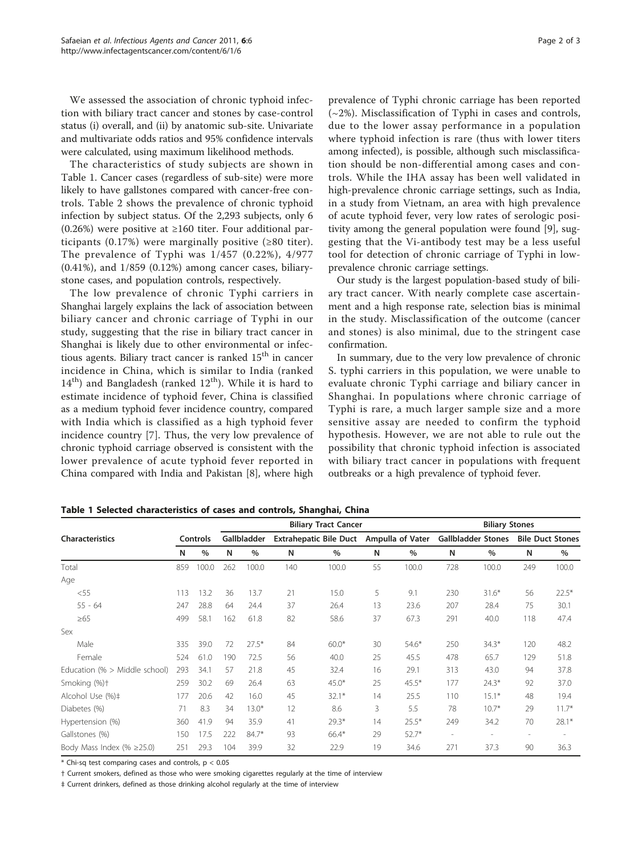We assessed the association of chronic typhoid infection with biliary tract cancer and stones by case-control status (i) overall, and (ii) by anatomic sub-site. Univariate and multivariate odds ratios and 95% confidence intervals were calculated, using maximum likelihood methods.

The characteristics of study subjects are shown in Table 1. Cancer cases (regardless of sub-site) were more likely to have gallstones compared with cancer-free controls. Table [2](#page-2-0) shows the prevalence of chronic typhoid infection by subject status. Of the 2,293 subjects, only 6 (0.26%) were positive at ≥160 titer. Four additional participants  $(0.17%)$  were marginally positive (≥80 titer). The prevalence of Typhi was 1/457 (0.22%), 4/977 (0.41%), and 1/859 (0.12%) among cancer cases, biliarystone cases, and population controls, respectively.

The low prevalence of chronic Typhi carriers in Shanghai largely explains the lack of association between biliary cancer and chronic carriage of Typhi in our study, suggesting that the rise in biliary tract cancer in Shanghai is likely due to other environmental or infectious agents. Biliary tract cancer is ranked  $15<sup>th</sup>$  in cancer incidence in China, which is similar to India (ranked  $14<sup>th</sup>$ ) and Bangladesh (ranked  $12<sup>th</sup>$ ). While it is hard to estimate incidence of typhoid fever, China is classified as a medium typhoid fever incidence country, compared with India which is classified as a high typhoid fever incidence country [\[7](#page-2-0)]. Thus, the very low prevalence of chronic typhoid carriage observed is consistent with the lower prevalence of acute typhoid fever reported in China compared with India and Pakistan [[8](#page-2-0)], where high prevalence of Typhi chronic carriage has been reported  $(-2%)$ . Misclassification of Typhi in cases and controls, due to the lower assay performance in a population where typhoid infection is rare (thus with lower titers among infected), is possible, although such misclassification should be non-differential among cases and controls. While the IHA assay has been well validated in high-prevalence chronic carriage settings, such as India, in a study from Vietnam, an area with high prevalence of acute typhoid fever, very low rates of serologic positivity among the general population were found [[9\]](#page-2-0), suggesting that the Vi-antibody test may be a less useful tool for detection of chronic carriage of Typhi in lowprevalence chronic carriage settings.

Our study is the largest population-based study of biliary tract cancer. With nearly complete case ascertainment and a high response rate, selection bias is minimal in the study. Misclassification of the outcome (cancer and stones) is also minimal, due to the stringent case confirmation.

In summary, due to the very low prevalence of chronic S. typhi carriers in this population, we were unable to evaluate chronic Typhi carriage and biliary cancer in Shanghai. In populations where chronic carriage of Typhi is rare, a much larger sample size and a more sensitive assay are needed to confirm the typhoid hypothesis. However, we are not able to rule out the possibility that chronic typhoid infection is associated with biliary tract cancer in populations with frequent outbreaks or a high prevalence of typhoid fever.

|                                 |                 |       | <b>Biliary Tract Cancer</b> |         |                               |         |                  |         | <b>Biliary Stones</b>     |         |                          |         |
|---------------------------------|-----------------|-------|-----------------------------|---------|-------------------------------|---------|------------------|---------|---------------------------|---------|--------------------------|---------|
| <b>Characteristics</b>          | <b>Controls</b> |       | Gallbladder                 |         | <b>Extrahepatic Bile Duct</b> |         | Ampulla of Vater |         | <b>Gallbladder Stones</b> |         | <b>Bile Duct Stones</b>  |         |
|                                 | N               | $\%$  | N                           | $\%$    | N                             | $\%$    | N                | $\%$    | N                         | $\%$    | N                        | $\%$    |
| Total                           | 859             | 100.0 | 262                         | 100.0   | 140                           | 100.0   | 55               | 100.0   | 728                       | 100.0   | 249                      | 100.0   |
| Age                             |                 |       |                             |         |                               |         |                  |         |                           |         |                          |         |
| $<$ 55                          | 113             | 13.2  | 36                          | 13.7    | 21                            | 15.0    | 5                | 9.1     | 230                       | $31.6*$ | 56                       | $22.5*$ |
| $55 - 64$                       | 247             | 28.8  | 64                          | 24.4    | 37                            | 26.4    | 13               | 23.6    | 207                       | 28.4    | 75                       | 30.1    |
| $\geq 65$                       | 499             | 58.1  | 162                         | 61.8    | 82                            | 58.6    | 37               | 67.3    | 291                       | 40.0    | 118                      | 47.4    |
| Sex                             |                 |       |                             |         |                               |         |                  |         |                           |         |                          |         |
| Male                            | 335             | 39.0  | 72                          | $27.5*$ | 84                            | $60.0*$ | 30               | $54.6*$ | 250                       | $34.3*$ | 120                      | 48.2    |
| Female                          | 524             | 61.0  | 190                         | 72.5    | 56                            | 40.0    | 25               | 45.5    | 478                       | 65.7    | 129                      | 51.8    |
| Education (% $>$ Middle school) | 293             | 34.1  | 57                          | 21.8    | 45                            | 32.4    | 16               | 29.1    | 313                       | 43.0    | 94                       | 37.8    |
| Smoking (%)+                    | 259             | 30.2  | 69                          | 26.4    | 63                            | $45.0*$ | 25               | $45.5*$ | 177                       | $24.3*$ | 92                       | 37.0    |
| Alcohol Use (%)‡                | 177             | 20.6  | 42                          | 16.0    | 45                            | $32.1*$ | 14               | 25.5    | 110                       | $15.1*$ | 48                       | 19.4    |
| Diabetes (%)                    | 71              | 8.3   | 34                          | $13.0*$ | 12                            | 8.6     | 3                | 5.5     | 78                        | $10.7*$ | 29                       | $11.7*$ |
| Hypertension (%)                | 360             | 41.9  | 94                          | 35.9    | 41                            | $29.3*$ | 14               | $25.5*$ | 249                       | 34.2    | 70                       | $28.1*$ |
| Gallstones (%)                  | 150             | 17.5  | 222                         | 84.7*   | 93                            | 66.4*   | 29               | $52.7*$ | $\overline{\phantom{a}}$  |         | $\overline{\phantom{a}}$ |         |
| Body Mass Index (% $\geq$ 25.0) | 251             | 29.3  | 104                         | 39.9    | 32                            | 22.9    | 19               | 34.6    | 271                       | 37.3    | 90                       | 36.3    |

Table 1 Selected characteristics of cases and controls, Shanghai, China

 $*$  Chi-sq test comparing cases and controls,  $p < 0.05$ 

† Current smokers, defined as those who were smoking cigarettes regularly at the time of interview

‡ Current drinkers, defined as those drinking alcohol regularly at the time of interview